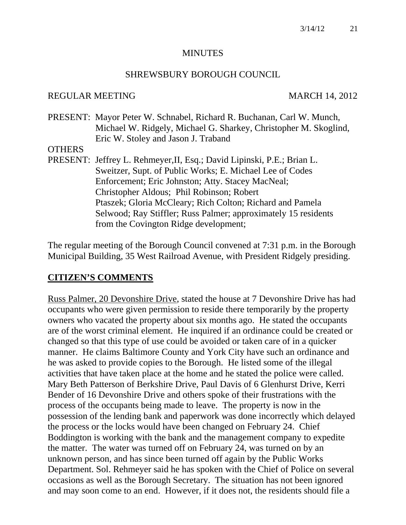#### **MINUTES**

#### SHREWSBURY BOROUGH COUNCIL

#### REGULAR MEETING MARCH 14, 2012

PRESENT: Mayor Peter W. Schnabel, Richard R. Buchanan, Carl W. Munch, Michael W. Ridgely, Michael G. Sharkey, Christopher M. Skoglind, Eric W. Stoley and Jason J. Traband

#### **OTHERS**

PRESENT: Jeffrey L. Rehmeyer,II, Esq.; David Lipinski, P.E.; Brian L. Sweitzer, Supt. of Public Works; E. Michael Lee of Codes Enforcement; Eric Johnston; Atty. Stacey MacNeal; Christopher Aldous; Phil Robinson; Robert Ptaszek; Gloria McCleary; Rich Colton; Richard and Pamela Selwood; Ray Stiffler; Russ Palmer; approximately 15 residents from the Covington Ridge development;

The regular meeting of the Borough Council convened at 7:31 p.m. in the Borough Municipal Building, 35 West Railroad Avenue, with President Ridgely presiding.

#### **CITIZEN'S COMMENTS**

Russ Palmer, 20 Devonshire Drive, stated the house at 7 Devonshire Drive has had occupants who were given permission to reside there temporarily by the property owners who vacated the property about six months ago. He stated the occupants are of the worst criminal element. He inquired if an ordinance could be created or changed so that this type of use could be avoided or taken care of in a quicker manner. He claims Baltimore County and York City have such an ordinance and he was asked to provide copies to the Borough. He listed some of the illegal activities that have taken place at the home and he stated the police were called. Mary Beth Patterson of Berkshire Drive, Paul Davis of 6 Glenhurst Drive, Kerri Bender of 16 Devonshire Drive and others spoke of their frustrations with the process of the occupants being made to leave. The property is now in the possession of the lending bank and paperwork was done incorrectly which delayed the process or the locks would have been changed on February 24. Chief Boddington is working with the bank and the management company to expedite the matter. The water was turned off on February 24, was turned on by an unknown person, and has since been turned off again by the Public Works Department. Sol. Rehmeyer said he has spoken with the Chief of Police on several occasions as well as the Borough Secretary. The situation has not been ignored and may soon come to an end. However, if it does not, the residents should file a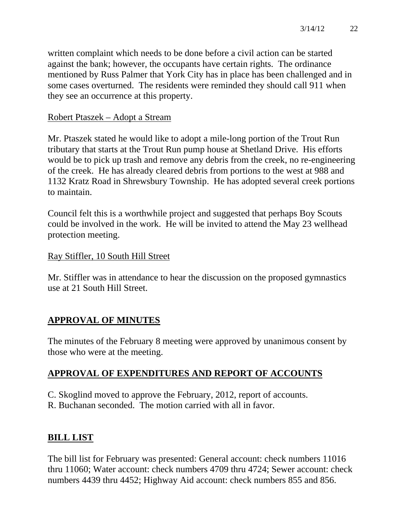written complaint which needs to be done before a civil action can be started against the bank; however, the occupants have certain rights. The ordinance mentioned by Russ Palmer that York City has in place has been challenged and in some cases overturned. The residents were reminded they should call 911 when they see an occurrence at this property.

#### Robert Ptaszek – Adopt a Stream

Mr. Ptaszek stated he would like to adopt a mile-long portion of the Trout Run tributary that starts at the Trout Run pump house at Shetland Drive. His efforts would be to pick up trash and remove any debris from the creek, no re-engineering of the creek. He has already cleared debris from portions to the west at 988 and 1132 Kratz Road in Shrewsbury Township. He has adopted several creek portions to maintain.

Council felt this is a worthwhile project and suggested that perhaps Boy Scouts could be involved in the work. He will be invited to attend the May 23 wellhead protection meeting.

#### Ray Stiffler, 10 South Hill Street

Mr. Stiffler was in attendance to hear the discussion on the proposed gymnastics use at 21 South Hill Street.

# **APPROVAL OF MINUTES**

The minutes of the February 8 meeting were approved by unanimous consent by those who were at the meeting.

# **APPROVAL OF EXPENDITURES AND REPORT OF ACCOUNTS**

C. Skoglind moved to approve the February, 2012, report of accounts. R. Buchanan seconded. The motion carried with all in favor.

## **BILL LIST**

The bill list for February was presented: General account: check numbers 11016 thru 11060; Water account: check numbers 4709 thru 4724; Sewer account: check numbers 4439 thru 4452; Highway Aid account: check numbers 855 and 856.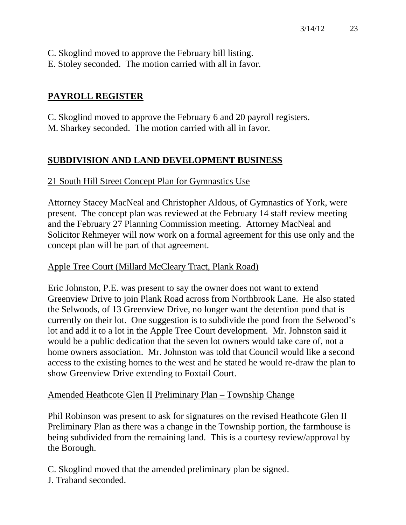- C. Skoglind moved to approve the February bill listing.
- E. Stoley seconded. The motion carried with all in favor.

# **PAYROLL REGISTER**

C. Skoglind moved to approve the February 6 and 20 payroll registers. M. Sharkey seconded. The motion carried with all in favor.

# **SUBDIVISION AND LAND DEVELOPMENT BUSINESS**

# 21 South Hill Street Concept Plan for Gymnastics Use

Attorney Stacey MacNeal and Christopher Aldous, of Gymnastics of York, were present. The concept plan was reviewed at the February 14 staff review meeting and the February 27 Planning Commission meeting. Attorney MacNeal and Solicitor Rehmeyer will now work on a formal agreement for this use only and the concept plan will be part of that agreement.

## Apple Tree Court (Millard McCleary Tract, Plank Road)

Eric Johnston, P.E. was present to say the owner does not want to extend Greenview Drive to join Plank Road across from Northbrook Lane. He also stated the Selwoods, of 13 Greenview Drive, no longer want the detention pond that is currently on their lot. One suggestion is to subdivide the pond from the Selwood's lot and add it to a lot in the Apple Tree Court development. Mr. Johnston said it would be a public dedication that the seven lot owners would take care of, not a home owners association. Mr. Johnston was told that Council would like a second access to the existing homes to the west and he stated he would re-draw the plan to show Greenview Drive extending to Foxtail Court.

## Amended Heathcote Glen II Preliminary Plan – Township Change

Phil Robinson was present to ask for signatures on the revised Heathcote Glen II Preliminary Plan as there was a change in the Township portion, the farmhouse is being subdivided from the remaining land. This is a courtesy review/approval by the Borough.

C. Skoglind moved that the amended preliminary plan be signed. J. Traband seconded.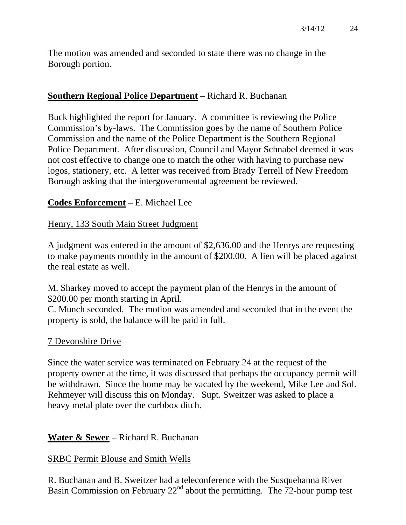The motion was amended and seconded to state there was no change in the Borough portion.

## **Southern Regional Police Department** – Richard R. Buchanan

Buck highlighted the report for January. A committee is reviewing the Police Commission's by-laws. The Commission goes by the name of Southern Police Commission and the name of the Police Department is the Southern Regional Police Department. After discussion, Council and Mayor Schnabel deemed it was not cost effective to change one to match the other with having to purchase new logos, stationery, etc. A letter was received from Brady Terrell of New Freedom Borough asking that the intergovernmental agreement be reviewed.

## **Codes Enforcement** – E. Michael Lee

## Henry, 133 South Main Street Judgment

A judgment was entered in the amount of \$2,636.00 and the Henrys are requesting to make payments monthly in the amount of \$200.00. A lien will be placed against the real estate as well.

M. Sharkey moved to accept the payment plan of the Henrys in the amount of \$200.00 per month starting in April.

C. Munch seconded. The motion was amended and seconded that in the event the property is sold, the balance will be paid in full.

#### 7 Devonshire Drive

Since the water service was terminated on February 24 at the request of the property owner at the time, it was discussed that perhaps the occupancy permit will be withdrawn. Since the home may be vacated by the weekend, Mike Lee and Sol. Rehmeyer will discuss this on Monday. Supt. Sweitzer was asked to place a heavy metal plate over the curbbox ditch.

## **Water & Sewer** – Richard R. Buchanan

## SRBC Permit Blouse and Smith Wells

R. Buchanan and B. Sweitzer had a teleconference with the Susquehanna River Basin Commission on February  $22<sup>nd</sup>$  about the permitting. The 72-hour pump test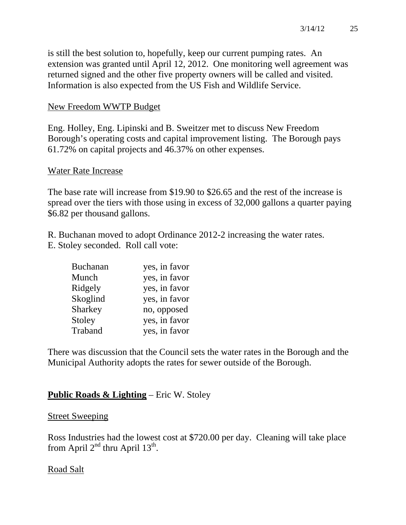is still the best solution to, hopefully, keep our current pumping rates. An extension was granted until April 12, 2012. One monitoring well agreement was returned signed and the other five property owners will be called and visited. Information is also expected from the US Fish and Wildlife Service.

#### New Freedom WWTP Budget

Eng. Holley, Eng. Lipinski and B. Sweitzer met to discuss New Freedom Borough's operating costs and capital improvement listing. The Borough pays 61.72% on capital projects and 46.37% on other expenses.

#### Water Rate Increase

The base rate will increase from \$19.90 to \$26.65 and the rest of the increase is spread over the tiers with those using in excess of 32,000 gallons a quarter paying \$6.82 per thousand gallons.

R. Buchanan moved to adopt Ordinance 2012-2 increasing the water rates. E. Stoley seconded. Roll call vote:

| <b>Buchanan</b> | yes, in favor |
|-----------------|---------------|
| Munch           | yes, in favor |
| Ridgely         | yes, in favor |
| Skoglind        | yes, in favor |
| Sharkey         | no, opposed   |
| Stoley          | yes, in favor |
| Traband         | yes, in favor |

There was discussion that the Council sets the water rates in the Borough and the Municipal Authority adopts the rates for sewer outside of the Borough.

#### **Public Roads & Lighting** – Eric W. Stoley

#### Street Sweeping

Ross Industries had the lowest cost at \$720.00 per day. Cleaning will take place from April  $2<sup>nd</sup>$  thru April  $13<sup>th</sup>$ .

#### Road Salt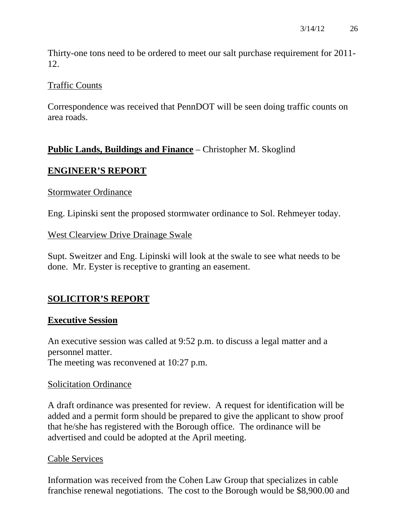Thirty-one tons need to be ordered to meet our salt purchase requirement for 2011- 12.

#### Traffic Counts

Correspondence was received that PennDOT will be seen doing traffic counts on area roads.

# **Public Lands, Buildings and Finance** – Christopher M. Skoglind

# **ENGINEER'S REPORT**

#### Stormwater Ordinance

Eng. Lipinski sent the proposed stormwater ordinance to Sol. Rehmeyer today.

## West Clearview Drive Drainage Swale

Supt. Sweitzer and Eng. Lipinski will look at the swale to see what needs to be done. Mr. Eyster is receptive to granting an easement.

# **SOLICITOR'S REPORT**

## **Executive Session**

An executive session was called at 9:52 p.m. to discuss a legal matter and a personnel matter. The meeting was reconvened at 10:27 p.m.

#### Solicitation Ordinance

A draft ordinance was presented for review. A request for identification will be added and a permit form should be prepared to give the applicant to show proof that he/she has registered with the Borough office. The ordinance will be advertised and could be adopted at the April meeting.

## Cable Services

Information was received from the Cohen Law Group that specializes in cable franchise renewal negotiations. The cost to the Borough would be \$8,900.00 and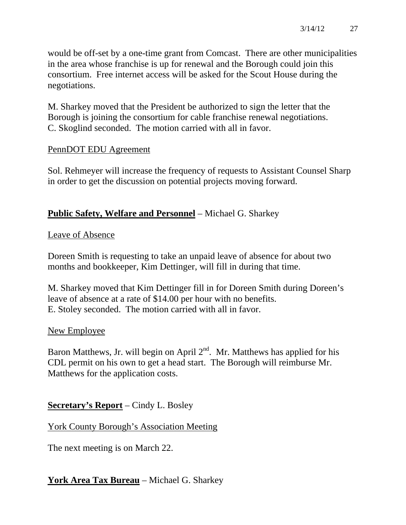would be off-set by a one-time grant from Comcast. There are other municipalities in the area whose franchise is up for renewal and the Borough could join this consortium. Free internet access will be asked for the Scout House during the negotiations.

M. Sharkey moved that the President be authorized to sign the letter that the Borough is joining the consortium for cable franchise renewal negotiations. C. Skoglind seconded. The motion carried with all in favor.

## PennDOT EDU Agreement

Sol. Rehmeyer will increase the frequency of requests to Assistant Counsel Sharp in order to get the discussion on potential projects moving forward.

#### **Public Safety, Welfare and Personnel** – Michael G. Sharkey

#### Leave of Absence

Doreen Smith is requesting to take an unpaid leave of absence for about two months and bookkeeper, Kim Dettinger, will fill in during that time.

M. Sharkey moved that Kim Dettinger fill in for Doreen Smith during Doreen's leave of absence at a rate of \$14.00 per hour with no benefits. E. Stoley seconded. The motion carried with all in favor.

#### New Employee

Baron Matthews, Jr. will begin on April  $2<sup>nd</sup>$ . Mr. Matthews has applied for his CDL permit on his own to get a head start. The Borough will reimburse Mr. Matthews for the application costs.

## **Secretary's Report** – Cindy L. Bosley

## York County Borough's Association Meeting

The next meeting is on March 22.

## **York Area Tax Bureau** – Michael G. Sharkey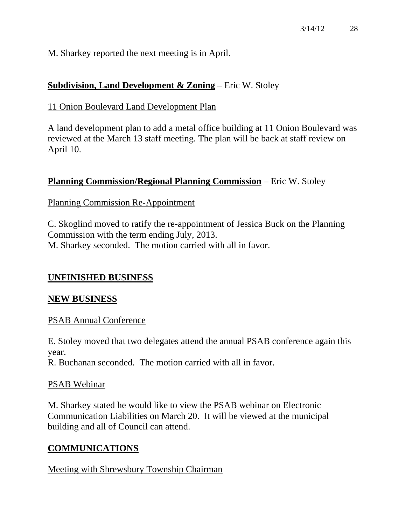M. Sharkey reported the next meeting is in April.

## **Subdivision, Land Development & Zoning** – Eric W. Stoley

11 Onion Boulevard Land Development Plan

A land development plan to add a metal office building at 11 Onion Boulevard was reviewed at the March 13 staff meeting. The plan will be back at staff review on April 10.

#### **Planning Commission/Regional Planning Commission** – Eric W. Stoley

#### Planning Commission Re-Appointment

C. Skoglind moved to ratify the re-appointment of Jessica Buck on the Planning Commission with the term ending July, 2013. M. Sharkey seconded. The motion carried with all in favor.

#### **UNFINISHED BUSINESS**

#### **NEW BUSINESS**

#### PSAB Annual Conference

E. Stoley moved that two delegates attend the annual PSAB conference again this year.

R. Buchanan seconded. The motion carried with all in favor.

#### PSAB Webinar

M. Sharkey stated he would like to view the PSAB webinar on Electronic Communication Liabilities on March 20. It will be viewed at the municipal building and all of Council can attend.

#### **COMMUNICATIONS**

#### Meeting with Shrewsbury Township Chairman